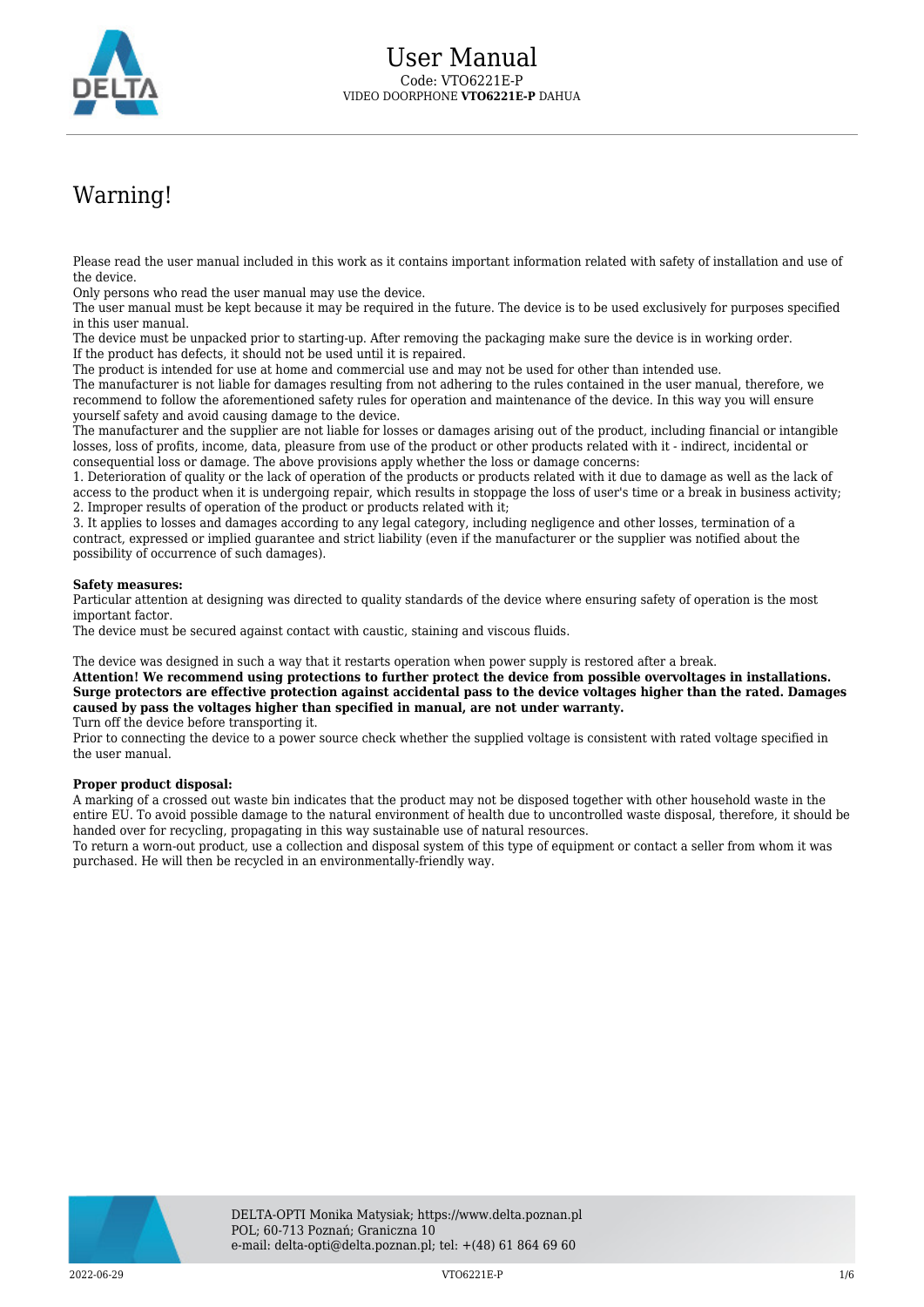

## Warning!

Please read the user manual included in this work as it contains important information related with safety of installation and use of the device.

Only persons who read the user manual may use the device.

The user manual must be kept because it may be required in the future. The device is to be used exclusively for purposes specified in this user manual.

The device must be unpacked prior to starting-up. After removing the packaging make sure the device is in working order. If the product has defects, it should not be used until it is repaired.

The product is intended for use at home and commercial use and may not be used for other than intended use.

The manufacturer is not liable for damages resulting from not adhering to the rules contained in the user manual, therefore, we recommend to follow the aforementioned safety rules for operation and maintenance of the device. In this way you will ensure yourself safety and avoid causing damage to the device.

The manufacturer and the supplier are not liable for losses or damages arising out of the product, including financial or intangible losses, loss of profits, income, data, pleasure from use of the product or other products related with it - indirect, incidental or consequential loss or damage. The above provisions apply whether the loss or damage concerns:

1. Deterioration of quality or the lack of operation of the products or products related with it due to damage as well as the lack of access to the product when it is undergoing repair, which results in stoppage the loss of user's time or a break in business activity; 2. Improper results of operation of the product or products related with it;

3. It applies to losses and damages according to any legal category, including negligence and other losses, termination of a contract, expressed or implied guarantee and strict liability (even if the manufacturer or the supplier was notified about the possibility of occurrence of such damages).

## **Safety measures:**

Particular attention at designing was directed to quality standards of the device where ensuring safety of operation is the most important factor.

The device must be secured against contact with caustic, staining and viscous fluids.

The device was designed in such a way that it restarts operation when power supply is restored after a break.

**Attention! We recommend using protections to further protect the device from possible overvoltages in installations. Surge protectors are effective protection against accidental pass to the device voltages higher than the rated. Damages caused by pass the voltages higher than specified in manual, are not under warranty.**

Turn off the device before transporting it.

Prior to connecting the device to a power source check whether the supplied voltage is consistent with rated voltage specified in the user manual.

## **Proper product disposal:**

A marking of a crossed out waste bin indicates that the product may not be disposed together with other household waste in the entire EU. To avoid possible damage to the natural environment of health due to uncontrolled waste disposal, therefore, it should be handed over for recycling, propagating in this way sustainable use of natural resources.

To return a worn-out product, use a collection and disposal system of this type of equipment or contact a seller from whom it was purchased. He will then be recycled in an environmentally-friendly way.

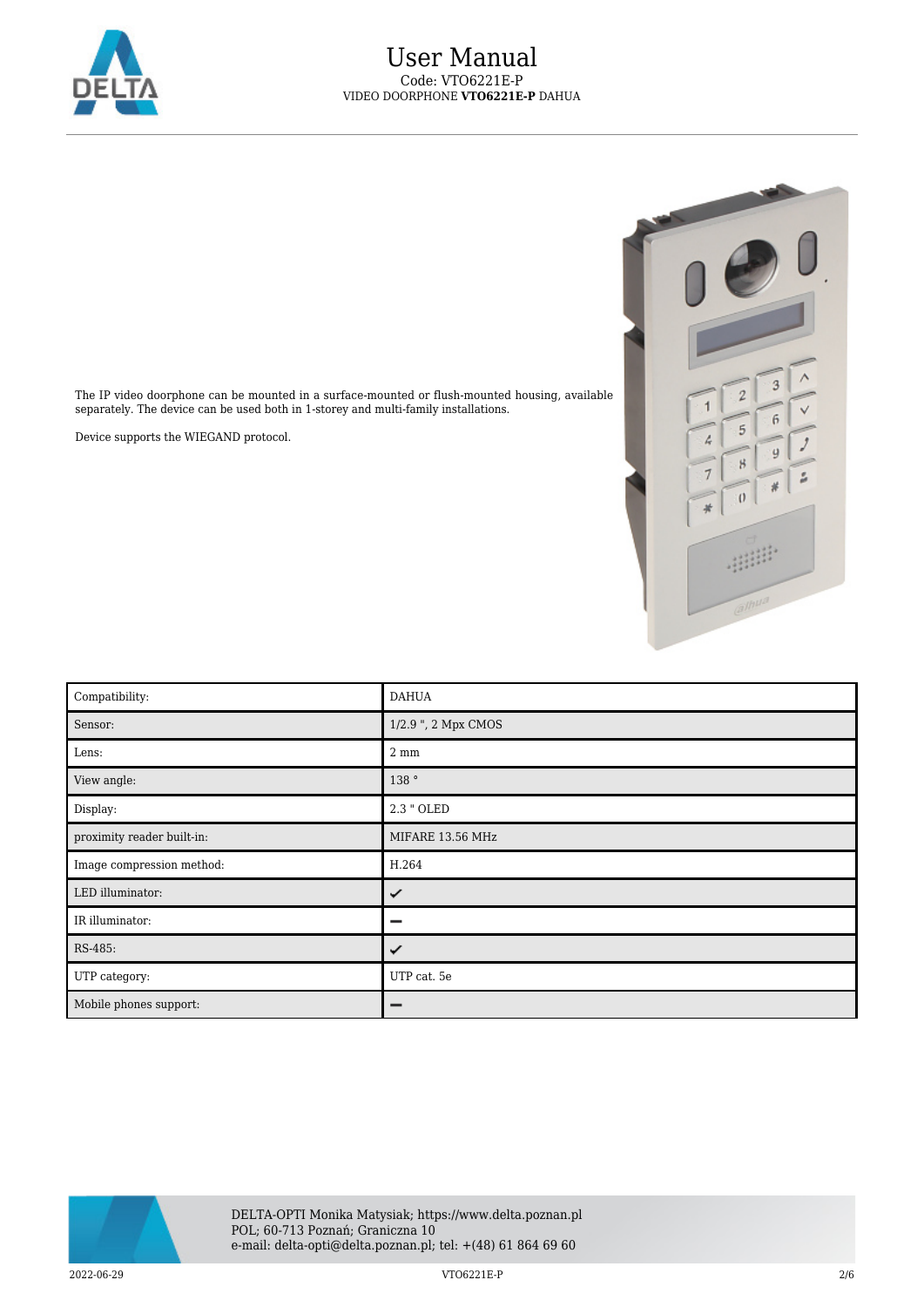



The IP video doorphone can be mounted in a surface-mounted or flush-mounted housing, available separately. The device can be used both in 1-storey and multi-family installations.

Device supports the WIEGAND protocol.

| Compatibility:             | <b>DAHUA</b>        |
|----------------------------|---------------------|
| Sensor:                    | 1/2.9 ", 2 Mpx CMOS |
| Lens:                      | $2 \text{ mm}$      |
| View angle:                | 138 °               |
| Display:                   | 2.3 " OLED          |
| proximity reader built-in: | MIFARE 13.56 MHz    |
| Image compression method:  | H.264               |
| LED illuminator:           | ✓                   |
| IR illuminator:            |                     |
| RS-485:                    | ✓                   |
| UTP category:              | UTP cat. 5e         |
| Mobile phones support:     |                     |

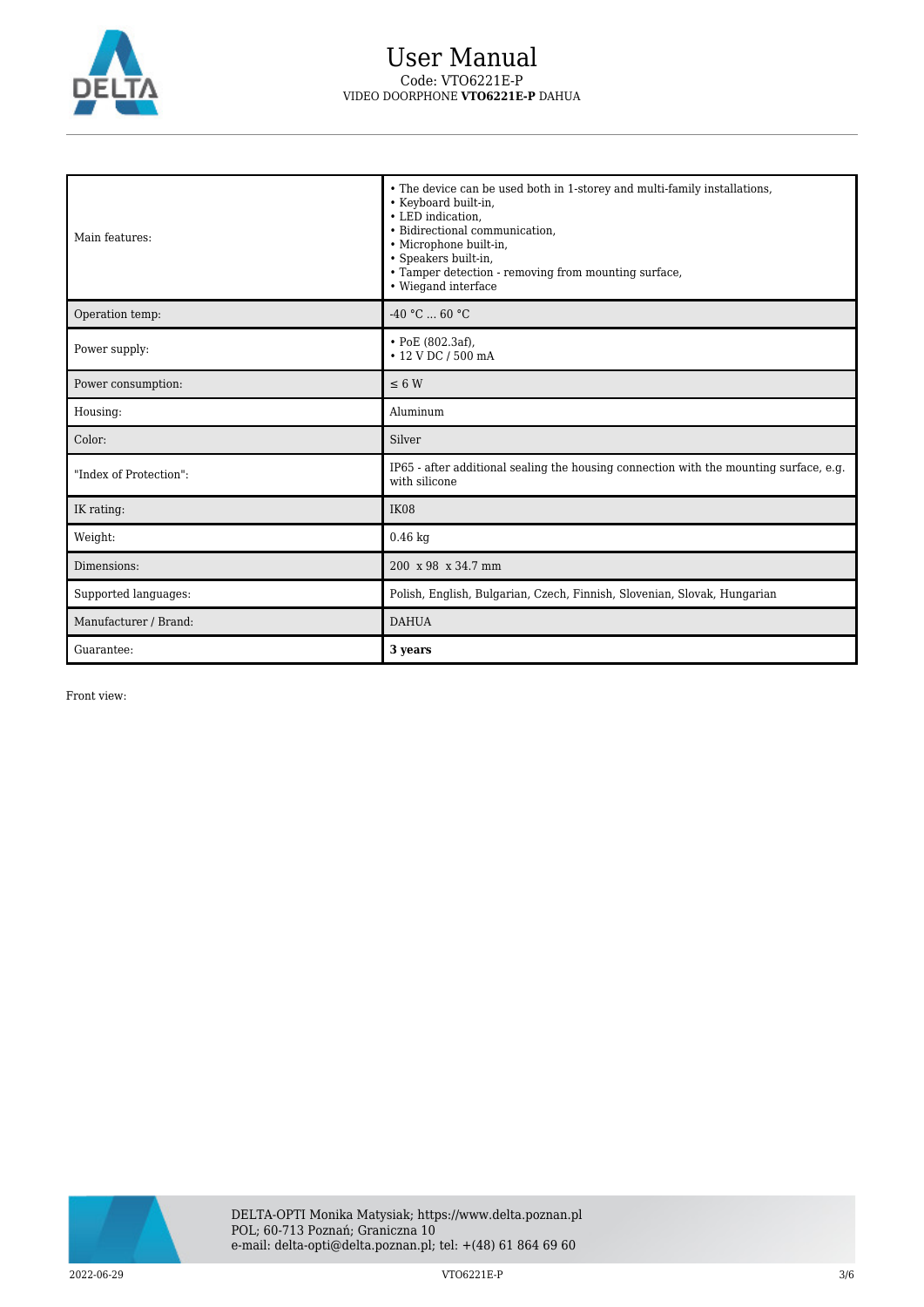

## User Manual Code: VTO6221E-P VIDEO DOORPHONE **VTO6221E-P** DAHUA

| Main features:         | • The device can be used both in 1-storey and multi-family installations,<br>• Keyboard built-in,<br>• LED indication.<br>• Bidirectional communication,<br>• Microphone built-in,<br>· Speakers built-in,<br>• Tamper detection - removing from mounting surface,<br>• Wiegand interface |  |
|------------------------|-------------------------------------------------------------------------------------------------------------------------------------------------------------------------------------------------------------------------------------------------------------------------------------------|--|
| Operation temp:        | $-40 °C  60 °C$                                                                                                                                                                                                                                                                           |  |
| Power supply:          | $\cdot$ PoE (802.3af),<br>• 12 V DC / 500 mA                                                                                                                                                                                                                                              |  |
| Power consumption:     | $\leq 6$ W                                                                                                                                                                                                                                                                                |  |
| Housing:               | Aluminum                                                                                                                                                                                                                                                                                  |  |
| Color:                 | Silver                                                                                                                                                                                                                                                                                    |  |
| "Index of Protection": | IP65 - after additional sealing the housing connection with the mounting surface, e.g.<br>with silicone                                                                                                                                                                                   |  |
| IK rating:             | <b>IK08</b>                                                                                                                                                                                                                                                                               |  |
| Weight:                | $0.46$ kg                                                                                                                                                                                                                                                                                 |  |
| Dimensions:            | 200 x 98 x 34.7 mm                                                                                                                                                                                                                                                                        |  |
| Supported languages:   | Polish, English, Bulgarian, Czech, Finnish, Slovenian, Slovak, Hungarian                                                                                                                                                                                                                  |  |
| Manufacturer / Brand:  | <b>DAHUA</b>                                                                                                                                                                                                                                                                              |  |
| Guarantee:             | 3 years                                                                                                                                                                                                                                                                                   |  |

Front view:

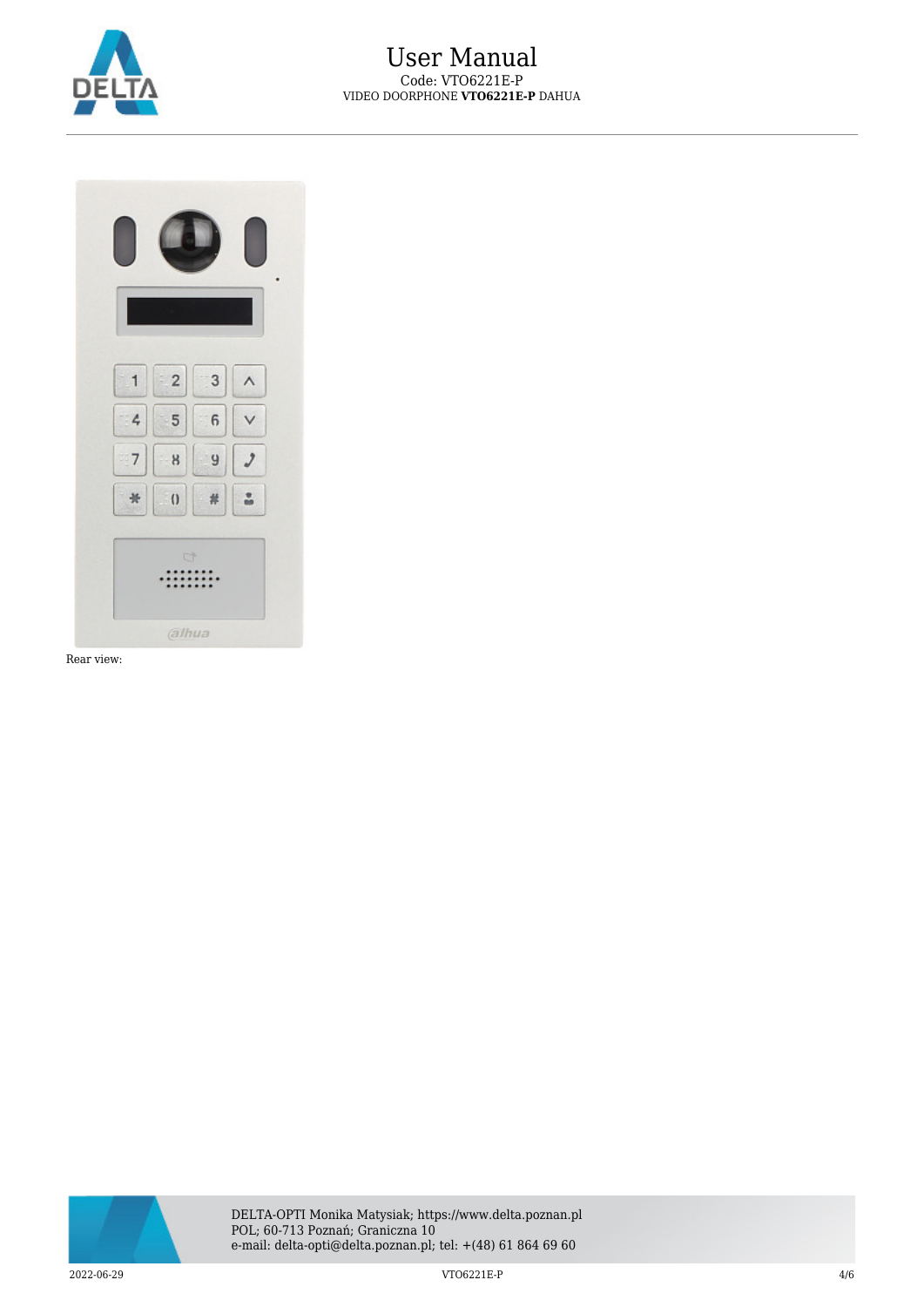

|   | $\frac{1}{2}$  | 3 |  |
|---|----------------|---|--|
| 4 | 5              | 6 |  |
| 7 | 8              | 9 |  |
|   | $\overline{0}$ | 莹 |  |

Rear view:

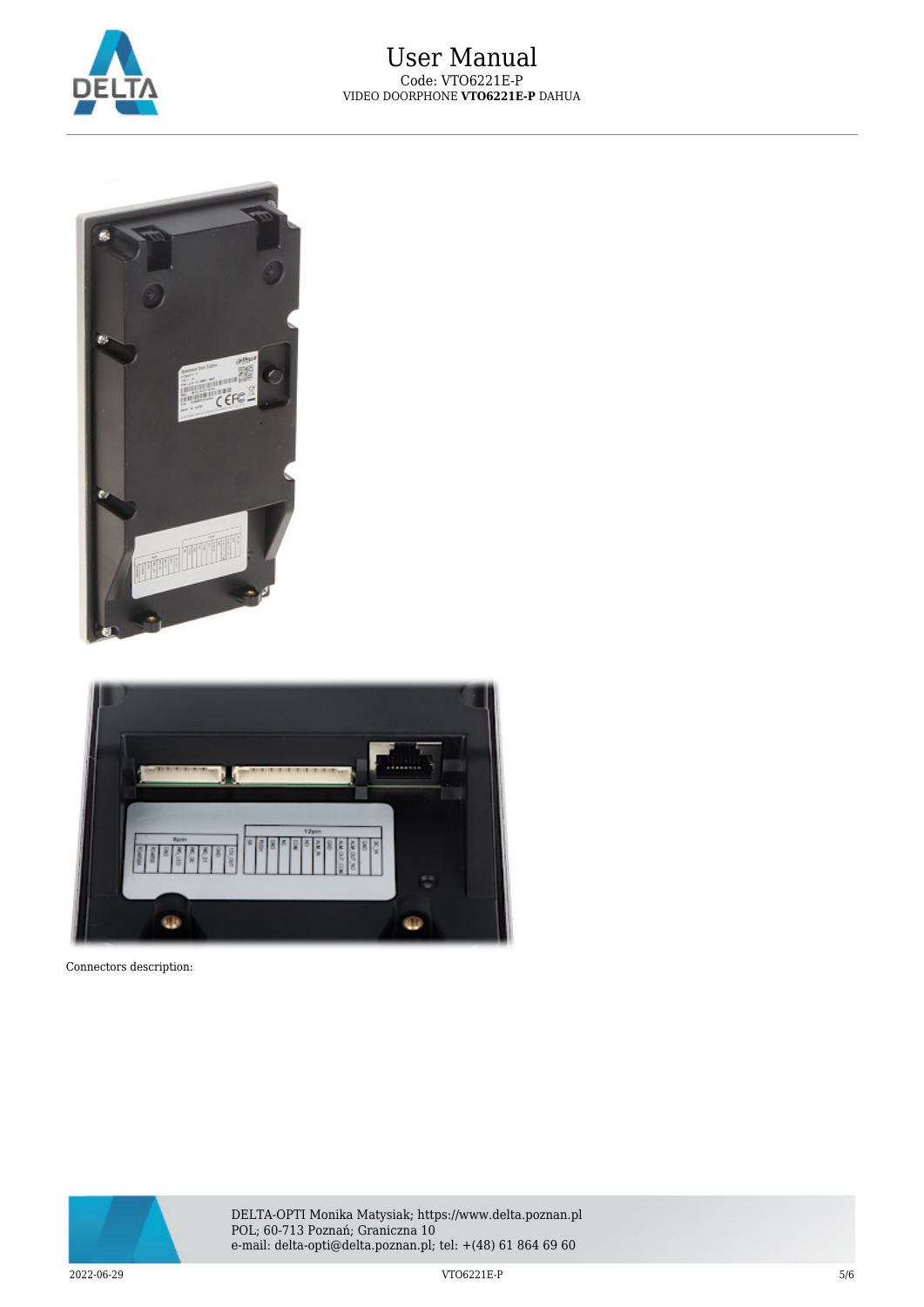





Connectors description:



DELTA-OPTI Monika Matysiak; https://www.delta.poznan.pl POL; 60-713 Poznań; Graniczna 10 e-mail: delta-opti@delta.poznan.pl; tel: +(48) 61 864 69 60

 $2022{\cdot}06{\cdot}29$   $5/6$